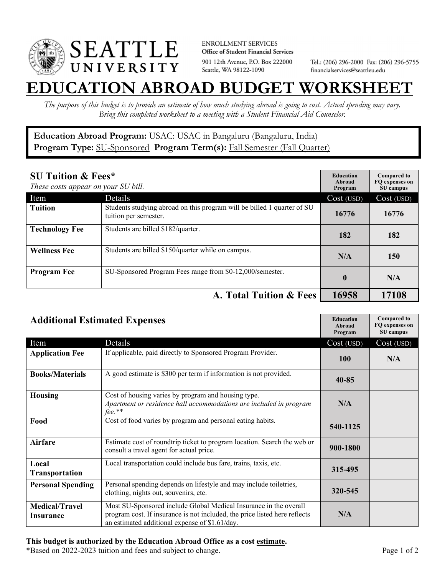

**ENROLLMENT SERVICES** Office of Student Financial Services 901 12th Avenue, P.O. Box 222000 Seattle, WA 98122-1090

Tel.: (206) 296-2000 Fax: (206) 296-5755 financialservices@seattleu.edu

## **EATION ABROAD BUDGET WORKSHEE**

*The purpose of this budget is to provide an estimate of how much studying abroad is going to cost. Actual spending may vary. Bring this completed worksheet to a meeting with a Student Financial Aid Counselor.* 

## **Education Abroad Program:** USAC: USAC in Bangaluru (Bangaluru, India) Program Type: **SU-Sponsored** Program Term(s): **Fall Semester (Fall Quarter)**

| <b>SU Tuition &amp; Fees*</b><br>These costs appear on your SU bill. |                                                                                                  | <b>Education</b><br>Abroad<br>Program | <b>Compared to</b><br>FO expenses on<br>SU campus |
|----------------------------------------------------------------------|--------------------------------------------------------------------------------------------------|---------------------------------------|---------------------------------------------------|
| Item                                                                 | Details                                                                                          | Cost (USD)                            | Cost (USD)                                        |
| <b>Tuition</b>                                                       | Students studying abroad on this program will be billed 1 quarter of SU<br>tuition per semester. | 16776                                 | 16776                                             |
| <b>Technology Fee</b>                                                | Students are billed \$182/quarter.                                                               | 182                                   | 182                                               |
| <b>Wellness Fee</b>                                                  | Students are billed \$150/quarter while on campus.                                               | N/A                                   | 150                                               |
| <b>Program Fee</b>                                                   | SU-Sponsored Program Fees range from \$0-12,000/semester.                                        | $\mathbf{0}$                          | N/A                                               |
|                                                                      | A. Total Tuition & Fees                                                                          | 16958                                 | 17108                                             |

| <b>Additional Estimated Expenses</b> |                                                                                                                                                                                                   | <b>Education</b><br><b>Abroad</b><br>Program | <b>Compared to</b><br>FQ expenses on<br>SU campus |
|--------------------------------------|---------------------------------------------------------------------------------------------------------------------------------------------------------------------------------------------------|----------------------------------------------|---------------------------------------------------|
| Item                                 | Details                                                                                                                                                                                           | Cost (USD)                                   | Cost (USD)                                        |
| <b>Application Fee</b>               | If applicable, paid directly to Sponsored Program Provider.                                                                                                                                       | 100                                          | N/A                                               |
| <b>Books/Materials</b>               | A good estimate is \$300 per term if information is not provided.                                                                                                                                 | $40 - 85$                                    |                                                   |
| <b>Housing</b>                       | Cost of housing varies by program and housing type.<br>Apartment or residence hall accommodations are included in program<br>$fee.$ **                                                            | N/A                                          |                                                   |
| Food                                 | Cost of food varies by program and personal eating habits.                                                                                                                                        | 540-1125                                     |                                                   |
| <b>Airfare</b>                       | Estimate cost of roundtrip ticket to program location. Search the web or<br>consult a travel agent for actual price.                                                                              | 900-1800                                     |                                                   |
| Local<br>Transportation              | Local transportation could include bus fare, trains, taxis, etc.                                                                                                                                  | 315-495                                      |                                                   |
| <b>Personal Spending</b>             | Personal spending depends on lifestyle and may include toiletries,<br>clothing, nights out, souvenirs, etc.                                                                                       | 320-545                                      |                                                   |
| <b>Medical/Travel</b><br>Insurance   | Most SU-Sponsored include Global Medical Insurance in the overall<br>program cost. If insurance is not included, the price listed here reflects<br>an estimated additional expense of \$1.61/day. | N/A                                          |                                                   |

## **This budget is authorized by the Education Abroad Office as a cost estimate.**

\*Based on 2022-2023 tuition and fees and subject to change. Page 1 of 2